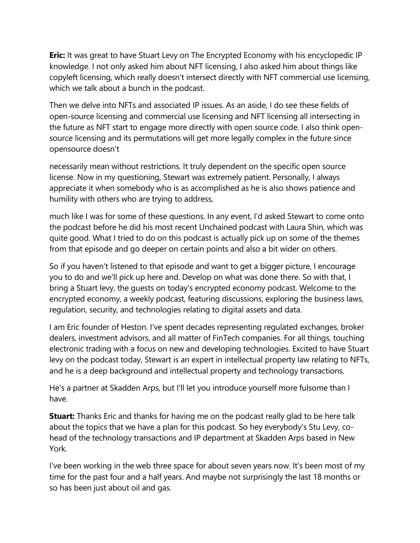**Eric:** It was great to have Stuart Levy on The Encrypted Economy with his encyclopedic IP knowledge. I not only asked him about NFT licensing, I also asked him about things like copyleft licensing, which really doesn't intersect directly with NFT commercial use licensing, which we talk about a bunch in the podcast.

Then we delve into NFTs and associated IP issues. As an aside, I do see these fields of open-source licensing and commercial use licensing and NFT licensing all intersecting in the future as NFT start to engage more directly with open source code. I also think opensource licensing and its permutations will get more legally complex in the future since opensource doesn't

necessarily mean without restrictions. It truly dependent on the specific open source license. Now in my questioning, Stewart was extremely patient. Personally, I always appreciate it when somebody who is as accomplished as he is also shows patience and humility with others who are trying to address,

much like I was for some of these questions. In any event, I'd asked Stewart to come onto the podcast before he did his most recent Unchained podcast with Laura Shin, which was quite good. What I tried to do on this podcast is actually pick up on some of the themes from that episode and go deeper on certain points and also a bit wider on others.

So if you haven't listened to that episode and want to get a bigger picture, I encourage you to do and we'll pick up here and. Develop on what was done there. So with that, I bring a Stuart levy, the guests on today's encrypted economy podcast. Welcome to the encrypted economy, a weekly podcast, featuring discussions, exploring the business laws, regulation, security, and technologies relating to digital assets and data.

I am Eric founder of Heston. I've spent decades representing regulated exchanges, broker dealers, investment advisors, and all matter of FinTech companies. For all things, touching electronic trading with a focus on new and developing technologies. Excited to have Stuart levy on the podcast today, Stewart is an expert in intellectual property law relating to NFTs, and he is a deep background and intellectual property and technology transactions.

He's a partner at Skadden Arps, but I'll let you introduce yourself more fulsome than I have.

**Stuart:** Thanks Eric and thanks for having me on the podcast really glad to be here talk about the topics that we have a plan for this podcast. So hey everybody's Stu Levy, cohead of the technology transactions and IP department at Skadden Arps based in New York.

I've been working in the web three space for about seven years now. It's been most of my time for the past four and a half years. And maybe not surprisingly the last 18 months or so has been just about oil and gas.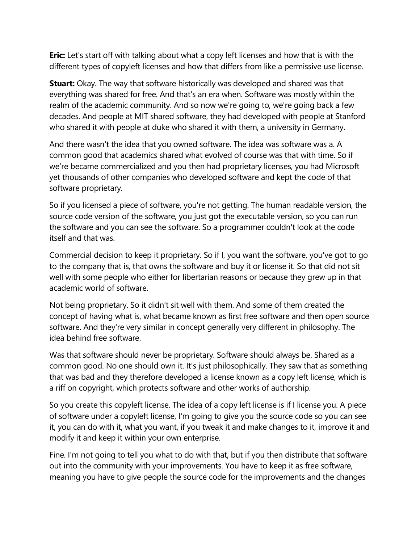**Eric:** Let's start off with talking about what a copy left licenses and how that is with the different types of copyleft licenses and how that differs from like a permissive use license.

**Stuart:** Okay. The way that software historically was developed and shared was that everything was shared for free. And that's an era when. Software was mostly within the realm of the academic community. And so now we're going to, we're going back a few decades. And people at MIT shared software, they had developed with people at Stanford who shared it with people at duke who shared it with them, a university in Germany.

And there wasn't the idea that you owned software. The idea was software was a. A common good that academics shared what evolved of course was that with time. So if we're became commercialized and you then had proprietary licenses, you had Microsoft yet thousands of other companies who developed software and kept the code of that software proprietary.

So if you licensed a piece of software, you're not getting. The human readable version, the source code version of the software, you just got the executable version, so you can run the software and you can see the software. So a programmer couldn't look at the code itself and that was.

Commercial decision to keep it proprietary. So if I, you want the software, you've got to go to the company that is, that owns the software and buy it or license it. So that did not sit well with some people who either for libertarian reasons or because they grew up in that academic world of software.

Not being proprietary. So it didn't sit well with them. And some of them created the concept of having what is, what became known as first free software and then open source software. And they're very similar in concept generally very different in philosophy. The idea behind free software.

Was that software should never be proprietary. Software should always be. Shared as a common good. No one should own it. It's just philosophically. They saw that as something that was bad and they therefore developed a license known as a copy left license, which is a riff on copyright, which protects software and other works of authorship.

So you create this copyleft license. The idea of a copy left license is if I license you. A piece of software under a copyleft license, I'm going to give you the source code so you can see it, you can do with it, what you want, if you tweak it and make changes to it, improve it and modify it and keep it within your own enterprise.

Fine. I'm not going to tell you what to do with that, but if you then distribute that software out into the community with your improvements. You have to keep it as free software, meaning you have to give people the source code for the improvements and the changes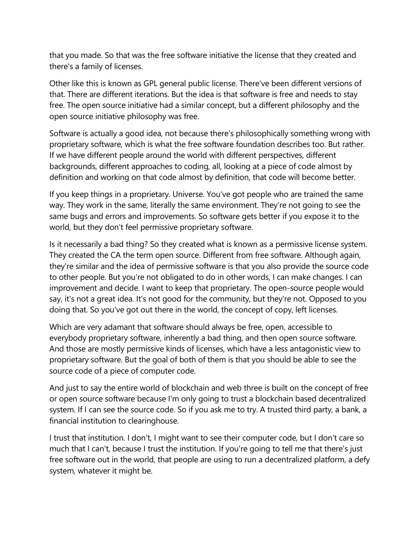that you made. So that was the free software initiative the license that they created and there's a family of licenses.

Other like this is known as GPL general public license. There've been different versions of that. There are different iterations. But the idea is that software is free and needs to stay free. The open source initiative had a similar concept, but a different philosophy and the open source initiative philosophy was free.

Software is actually a good idea, not because there's philosophically something wrong with proprietary software, which is what the free software foundation describes too. But rather. If we have different people around the world with different perspectives, different backgrounds, different approaches to coding, all, looking at a piece of code almost by definition and working on that code almost by definition, that code will become better.

If you keep things in a proprietary. Universe. You've got people who are trained the same way. They work in the same, literally the same environment. They're not going to see the same bugs and errors and improvements. So software gets better if you expose it to the world, but they don't feel permissive proprietary software.

Is it necessarily a bad thing? So they created what is known as a permissive license system. They created the CA the term open source. Different from free software. Although again, they're similar and the idea of permissive software is that you also provide the source code to other people. But you're not obligated to do in other words, I can make changes. I can improvement and decide. I want to keep that proprietary. The open-source people would say, it's not a great idea. It's not good for the community, but they're not. Opposed to you doing that. So you've got out there in the world, the concept of copy, left licenses.

Which are very adamant that software should always be free, open, accessible to everybody proprietary software, inherently a bad thing, and then open source software. And those are mostly permissive kinds of licenses, which have a less antagonistic view to proprietary software. But the goal of both of them is that you should be able to see the source code of a piece of computer code.

And just to say the entire world of blockchain and web three is built on the concept of free or open source software because I'm only going to trust a blockchain based decentralized system. If I can see the source code. So if you ask me to try. A trusted third party, a bank, a financial institution to clearinghouse.

I trust that institution. I don't, I might want to see their computer code, but I don't care so much that I can't, because I trust the institution. If you're going to tell me that there's just free software out in the world, that people are using to run a decentralized platform, a defy system, whatever it might be.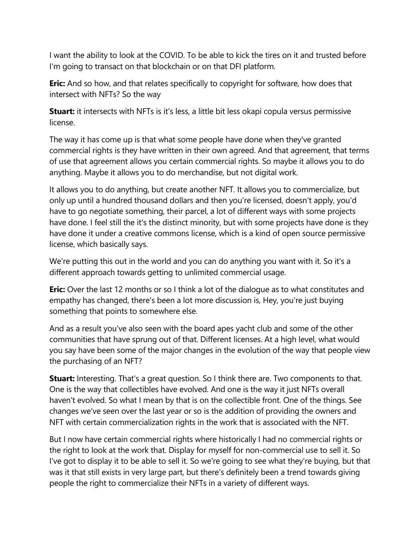I want the ability to look at the COVID. To be able to kick the tires on it and trusted before I'm going to transact on that blockchain or on that DFI platform.

**Eric:** And so how, and that relates specifically to copyright for software, how does that intersect with NFTs? So the way

**Stuart:** it intersects with NFTs is it's less, a little bit less okapi copula versus permissive license.

The way it has come up is that what some people have done when they've granted commercial rights is they have written in their own agreed. And that agreement, that terms of use that agreement allows you certain commercial rights. So maybe it allows you to do anything. Maybe it allows you to do merchandise, but not digital work.

It allows you to do anything, but create another NFT. It allows you to commercialize, but only up until a hundred thousand dollars and then you're licensed, doesn't apply, you'd have to go negotiate something, their parcel, a lot of different ways with some projects have done. I feel still the it's the distinct minority, but with some projects have done is they have done it under a creative commons license, which is a kind of open source permissive license, which basically says.

We're putting this out in the world and you can do anything you want with it. So it's a different approach towards getting to unlimited commercial usage.

**Eric:** Over the last 12 months or so I think a lot of the dialogue as to what constitutes and empathy has changed, there's been a lot more discussion is, Hey, you're just buying something that points to somewhere else.

And as a result you've also seen with the board apes yacht club and some of the other communities that have sprung out of that. Different licenses. At a high level, what would you say have been some of the major changes in the evolution of the way that people view the purchasing of an NFT?

**Stuart:** Interesting. That's a great question. So I think there are. Two components to that. One is the way that collectibles have evolved. And one is the way it just NFTs overall haven't evolved. So what I mean by that is on the collectible front. One of the things. See changes we've seen over the last year or so is the addition of providing the owners and NFT with certain commercialization rights in the work that is associated with the NFT.

But I now have certain commercial rights where historically I had no commercial rights or the right to look at the work that. Display for myself for non-commercial use to sell it. So I've got to display it to be able to sell it. So we're going to see what they're buying, but that was it that still exists in very large part, but there's definitely been a trend towards giving people the right to commercialize their NFTs in a variety of different ways.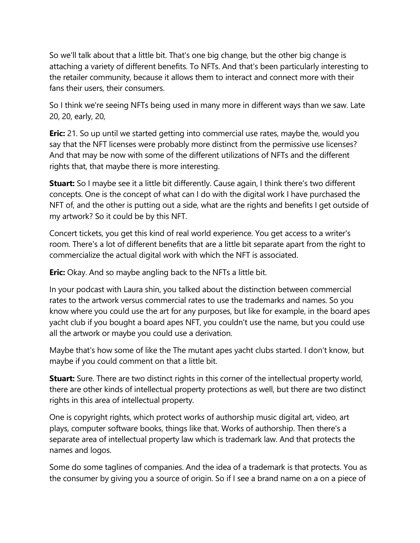So we'll talk about that a little bit. That's one big change, but the other big change is attaching a variety of different benefits. To NFTs. And that's been particularly interesting to the retailer community, because it allows them to interact and connect more with their fans their users, their consumers.

So I think we're seeing NFTs being used in many more in different ways than we saw. Late 20, 20, early, 20,

**Eric:** 21. So up until we started getting into commercial use rates, maybe the, would you say that the NFT licenses were probably more distinct from the permissive use licenses? And that may be now with some of the different utilizations of NFTs and the different rights that, that maybe there is more interesting.

**Stuart:** So I maybe see it a little bit differently. Cause again, I think there's two different concepts. One is the concept of what can I do with the digital work I have purchased the NFT of, and the other is putting out a side, what are the rights and benefits I get outside of my artwork? So it could be by this NFT.

Concert tickets, you get this kind of real world experience. You get access to a writer's room. There's a lot of different benefits that are a little bit separate apart from the right to commercialize the actual digital work with which the NFT is associated.

**Eric:** Okay. And so maybe angling back to the NFTs a little bit.

In your podcast with Laura shin, you talked about the distinction between commercial rates to the artwork versus commercial rates to use the trademarks and names. So you know where you could use the art for any purposes, but like for example, in the board apes yacht club if you bought a board apes NFT, you couldn't use the name, but you could use all the artwork or maybe you could use a derivation.

Maybe that's how some of like the The mutant apes yacht clubs started. I don't know, but maybe if you could comment on that a little bit.

**Stuart:** Sure. There are two distinct rights in this corner of the intellectual property world, there are other kinds of intellectual property protections as well, but there are two distinct rights in this area of intellectual property.

One is copyright rights, which protect works of authorship music digital art, video, art plays, computer software books, things like that. Works of authorship. Then there's a separate area of intellectual property law which is trademark law. And that protects the names and logos.

Some do some taglines of companies. And the idea of a trademark is that protects. You as the consumer by giving you a source of origin. So if I see a brand name on a on a piece of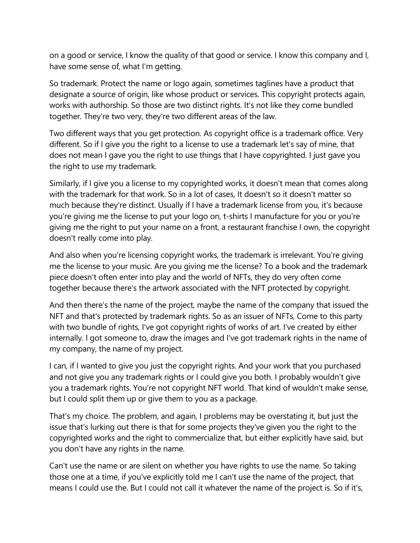on a good or service, I know the quality of that good or service. I know this company and I, have some sense of, what I'm getting.

So trademark. Protect the name or logo again, sometimes taglines have a product that designate a source of origin, like whose product or services. This copyright protects again, works with authorship. So those are two distinct rights. It's not like they come bundled together. They're two very, they're two different areas of the law.

Two different ways that you get protection. As copyright office is a trademark office. Very different. So if I give you the right to a license to use a trademark let's say of mine, that does not mean I gave you the right to use things that I have copyrighted. I just gave you the right to use my trademark.

Similarly, if I give you a license to my copyrighted works, it doesn't mean that comes along with the trademark for that work. So in a lot of cases, It doesn't so it doesn't matter so much because they're distinct. Usually if I have a trademark license from you, it's because you're giving me the license to put your logo on, t-shirts I manufacture for you or you're giving me the right to put your name on a front, a restaurant franchise I own, the copyright doesn't really come into play.

And also when you're licensing copyright works, the trademark is irrelevant. You're giving me the license to your music. Are you giving me the license? To a book and the trademark piece doesn't often enter into play and the world of NFTs, they do very often come together because there's the artwork associated with the NFT protected by copyright.

And then there's the name of the project, maybe the name of the company that issued the NFT and that's protected by trademark rights. So as an issuer of NFTs, Come to this party with two bundle of rights, I've got copyright rights of works of art. I've created by either internally. I got someone to, draw the images and I've got trademark rights in the name of my company, the name of my project.

I can, if I wanted to give you just the copyright rights. And your work that you purchased and not give you any trademark rights or I could give you both. I probably wouldn't give you a trademark rights. You're not copyright NFT world. That kind of wouldn't make sense, but I could split them up or give them to you as a package.

That's my choice. The problem, and again, I problems may be overstating it, but just the issue that's lurking out there is that for some projects they've given you the right to the copyrighted works and the right to commercialize that, but either explicitly have said, but you don't have any rights in the name.

Can't use the name or are silent on whether you have rights to use the name. So taking those one at a time, if you've explicitly told me I can't use the name of the project, that means I could use the. But I could not call it whatever the name of the project is. So if it's,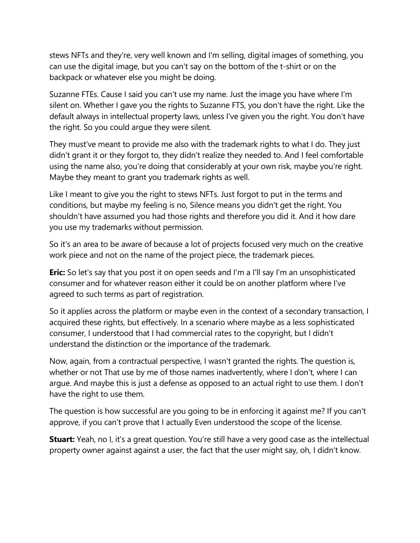stews NFTs and they're, very well known and I'm selling, digital images of something, you can use the digital image, but you can't say on the bottom of the t-shirt or on the backpack or whatever else you might be doing.

Suzanne FTEs. Cause I said you can't use my name. Just the image you have where I'm silent on. Whether I gave you the rights to Suzanne FTS, you don't have the right. Like the default always in intellectual property laws, unless I've given you the right. You don't have the right. So you could argue they were silent.

They must've meant to provide me also with the trademark rights to what I do. They just didn't grant it or they forgot to, they didn't realize they needed to. And I feel comfortable using the name also, you're doing that considerably at your own risk, maybe you're right. Maybe they meant to grant you trademark rights as well.

Like I meant to give you the right to stews NFTs. Just forgot to put in the terms and conditions, but maybe my feeling is no, Silence means you didn't get the right. You shouldn't have assumed you had those rights and therefore you did it. And it how dare you use my trademarks without permission.

So it's an area to be aware of because a lot of projects focused very much on the creative work piece and not on the name of the project piece, the trademark pieces.

**Eric:** So let's say that you post it on open seeds and I'm a I'll say I'm an unsophisticated consumer and for whatever reason either it could be on another platform where I've agreed to such terms as part of registration.

So it applies across the platform or maybe even in the context of a secondary transaction, I acquired these rights, but effectively. In a scenario where maybe as a less sophisticated consumer, I understood that I had commercial rates to the copyright, but I didn't understand the distinction or the importance of the trademark.

Now, again, from a contractual perspective, I wasn't granted the rights. The question is, whether or not That use by me of those names inadvertently, where I don't, where I can argue. And maybe this is just a defense as opposed to an actual right to use them. I don't have the right to use them.

The question is how successful are you going to be in enforcing it against me? If you can't approve, if you can't prove that I actually Even understood the scope of the license.

**Stuart:** Yeah, no I, it's a great question. You're still have a very good case as the intellectual property owner against against a user, the fact that the user might say, oh, I didn't know.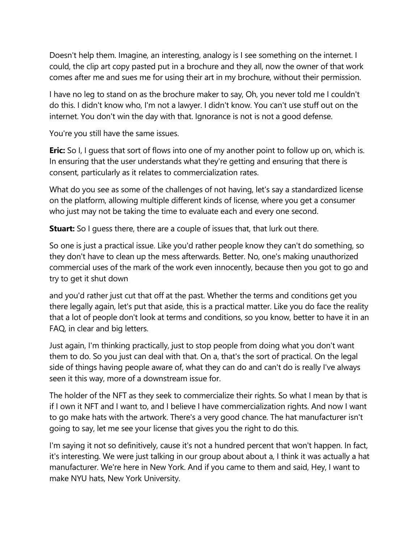Doesn't help them. Imagine, an interesting, analogy is I see something on the internet. I could, the clip art copy pasted put in a brochure and they all, now the owner of that work comes after me and sues me for using their art in my brochure, without their permission.

I have no leg to stand on as the brochure maker to say, Oh, you never told me I couldn't do this. I didn't know who, I'm not a lawyer. I didn't know. You can't use stuff out on the internet. You don't win the day with that. Ignorance is not is not a good defense.

You're you still have the same issues.

**Eric:** So I, I guess that sort of flows into one of my another point to follow up on, which is. In ensuring that the user understands what they're getting and ensuring that there is consent, particularly as it relates to commercialization rates.

What do you see as some of the challenges of not having, let's say a standardized license on the platform, allowing multiple different kinds of license, where you get a consumer who just may not be taking the time to evaluate each and every one second.

**Stuart:** So I guess there, there are a couple of issues that, that lurk out there.

So one is just a practical issue. Like you'd rather people know they can't do something, so they don't have to clean up the mess afterwards. Better. No, one's making unauthorized commercial uses of the mark of the work even innocently, because then you got to go and try to get it shut down

and you'd rather just cut that off at the past. Whether the terms and conditions get you there legally again, let's put that aside, this is a practical matter. Like you do face the reality that a lot of people don't look at terms and conditions, so you know, better to have it in an FAQ, in clear and big letters.

Just again, I'm thinking practically, just to stop people from doing what you don't want them to do. So you just can deal with that. On a, that's the sort of practical. On the legal side of things having people aware of, what they can do and can't do is really I've always seen it this way, more of a downstream issue for.

The holder of the NFT as they seek to commercialize their rights. So what I mean by that is if I own it NFT and I want to, and I believe I have commercialization rights. And now I want to go make hats with the artwork. There's a very good chance. The hat manufacturer isn't going to say, let me see your license that gives you the right to do this.

I'm saying it not so definitively, cause it's not a hundred percent that won't happen. In fact, it's interesting. We were just talking in our group about about a, I think it was actually a hat manufacturer. We're here in New York. And if you came to them and said, Hey, I want to make NYU hats, New York University.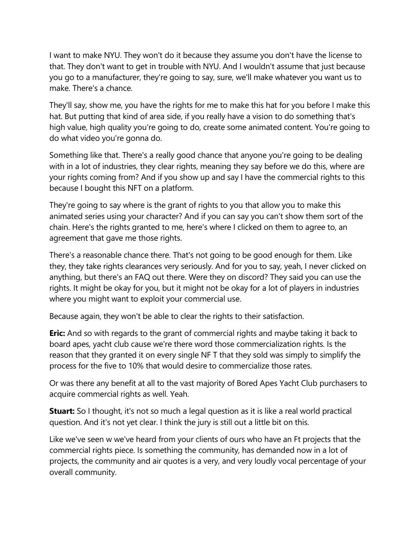I want to make NYU. They won't do it because they assume you don't have the license to that. They don't want to get in trouble with NYU. And I wouldn't assume that just because you go to a manufacturer, they're going to say, sure, we'll make whatever you want us to make. There's a chance.

They'll say, show me, you have the rights for me to make this hat for you before I make this hat. But putting that kind of area side, if you really have a vision to do something that's high value, high quality you're going to do, create some animated content. You're going to do what video you're gonna do.

Something like that. There's a really good chance that anyone you're going to be dealing with in a lot of industries, they clear rights, meaning they say before we do this, where are your rights coming from? And if you show up and say I have the commercial rights to this because I bought this NFT on a platform.

They're going to say where is the grant of rights to you that allow you to make this animated series using your character? And if you can say you can't show them sort of the chain. Here's the rights granted to me, here's where I clicked on them to agree to, an agreement that gave me those rights.

There's a reasonable chance there. That's not going to be good enough for them. Like they, they take rights clearances very seriously. And for you to say, yeah, I never clicked on anything, but there's an FAQ out there. Were they on discord? They said you can use the rights. It might be okay for you, but it might not be okay for a lot of players in industries where you might want to exploit your commercial use.

Because again, they won't be able to clear the rights to their satisfaction.

**Eric:** And so with regards to the grant of commercial rights and maybe taking it back to board apes, yacht club cause we're there word those commercialization rights. Is the reason that they granted it on every single NF T that they sold was simply to simplify the process for the five to 10% that would desire to commercialize those rates.

Or was there any benefit at all to the vast majority of Bored Apes Yacht Club purchasers to acquire commercial rights as well. Yeah.

**Stuart:** So I thought, it's not so much a legal question as it is like a real world practical question. And it's not yet clear. I think the jury is still out a little bit on this.

Like we've seen w we've heard from your clients of ours who have an Ft projects that the commercial rights piece. Is something the community, has demanded now in a lot of projects, the community and air quotes is a very, and very loudly vocal percentage of your overall community.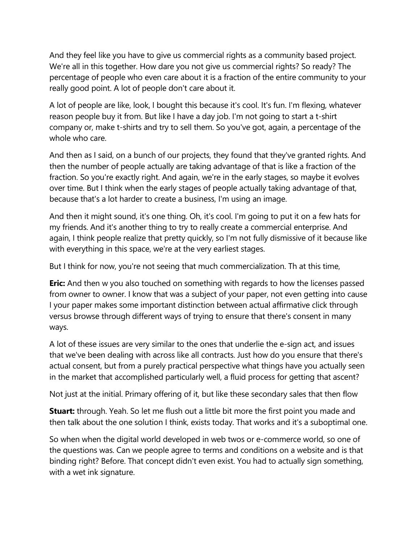And they feel like you have to give us commercial rights as a community based project. We're all in this together. How dare you not give us commercial rights? So ready? The percentage of people who even care about it is a fraction of the entire community to your really good point. A lot of people don't care about it.

A lot of people are like, look, I bought this because it's cool. It's fun. I'm flexing, whatever reason people buy it from. But like I have a day job. I'm not going to start a t-shirt company or, make t-shirts and try to sell them. So you've got, again, a percentage of the whole who care

And then as I said, on a bunch of our projects, they found that they've granted rights. And then the number of people actually are taking advantage of that is like a fraction of the fraction. So you're exactly right. And again, we're in the early stages, so maybe it evolves over time. But I think when the early stages of people actually taking advantage of that, because that's a lot harder to create a business, I'm using an image.

And then it might sound, it's one thing. Oh, it's cool. I'm going to put it on a few hats for my friends. And it's another thing to try to really create a commercial enterprise. And again, I think people realize that pretty quickly, so I'm not fully dismissive of it because like with everything in this space, we're at the very earliest stages.

But I think for now, you're not seeing that much commercialization. Th at this time,

**Eric:** And then w you also touched on something with regards to how the licenses passed from owner to owner. I know that was a subject of your paper, not even getting into cause I your paper makes some important distinction between actual affirmative click through versus browse through different ways of trying to ensure that there's consent in many ways.

A lot of these issues are very similar to the ones that underlie the e-sign act, and issues that we've been dealing with across like all contracts. Just how do you ensure that there's actual consent, but from a purely practical perspective what things have you actually seen in the market that accomplished particularly well, a fluid process for getting that ascent?

Not just at the initial. Primary offering of it, but like these secondary sales that then flow

**Stuart:** through. Yeah. So let me flush out a little bit more the first point you made and then talk about the one solution I think, exists today. That works and it's a suboptimal one.

So when when the digital world developed in web twos or e-commerce world, so one of the questions was. Can we people agree to terms and conditions on a website and is that binding right? Before. That concept didn't even exist. You had to actually sign something, with a wet ink signature.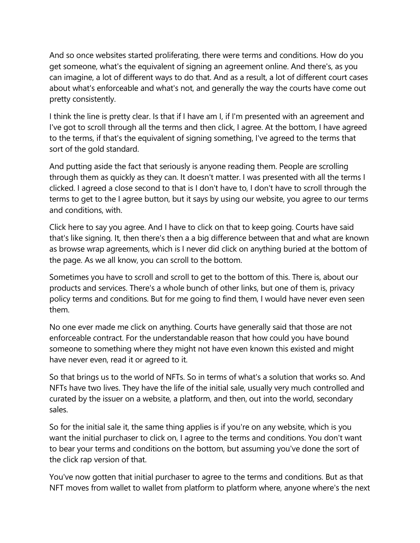And so once websites started proliferating, there were terms and conditions. How do you get someone, what's the equivalent of signing an agreement online. And there's, as you can imagine, a lot of different ways to do that. And as a result, a lot of different court cases about what's enforceable and what's not, and generally the way the courts have come out pretty consistently.

I think the line is pretty clear. Is that if I have am I, if I'm presented with an agreement and I've got to scroll through all the terms and then click, I agree. At the bottom, I have agreed to the terms, if that's the equivalent of signing something, I've agreed to the terms that sort of the gold standard.

And putting aside the fact that seriously is anyone reading them. People are scrolling through them as quickly as they can. It doesn't matter. I was presented with all the terms I clicked. I agreed a close second to that is I don't have to, I don't have to scroll through the terms to get to the I agree button, but it says by using our website, you agree to our terms and conditions, with.

Click here to say you agree. And I have to click on that to keep going. Courts have said that's like signing. It, then there's then a a big difference between that and what are known as browse wrap agreements, which is I never did click on anything buried at the bottom of the page. As we all know, you can scroll to the bottom.

Sometimes you have to scroll and scroll to get to the bottom of this. There is, about our products and services. There's a whole bunch of other links, but one of them is, privacy policy terms and conditions. But for me going to find them, I would have never even seen them.

No one ever made me click on anything. Courts have generally said that those are not enforceable contract. For the understandable reason that how could you have bound someone to something where they might not have even known this existed and might have never even, read it or agreed to it.

So that brings us to the world of NFTs. So in terms of what's a solution that works so. And NFTs have two lives. They have the life of the initial sale, usually very much controlled and curated by the issuer on a website, a platform, and then, out into the world, secondary sales.

So for the initial sale it, the same thing applies is if you're on any website, which is you want the initial purchaser to click on, I agree to the terms and conditions. You don't want to bear your terms and conditions on the bottom, but assuming you've done the sort of the click rap version of that.

You've now gotten that initial purchaser to agree to the terms and conditions. But as that NFT moves from wallet to wallet from platform to platform where, anyone where's the next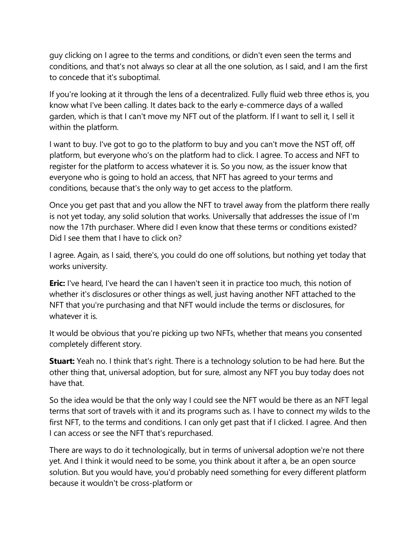guy clicking on I agree to the terms and conditions, or didn't even seen the terms and conditions, and that's not always so clear at all the one solution, as I said, and I am the first to concede that it's suboptimal.

If you're looking at it through the lens of a decentralized. Fully fluid web three ethos is, you know what I've been calling. It dates back to the early e-commerce days of a walled garden, which is that I can't move my NFT out of the platform. If I want to sell it, I sell it within the platform.

I want to buy. I've got to go to the platform to buy and you can't move the NST off, off platform, but everyone who's on the platform had to click. I agree. To access and NFT to register for the platform to access whatever it is. So you now, as the issuer know that everyone who is going to hold an access, that NFT has agreed to your terms and conditions, because that's the only way to get access to the platform.

Once you get past that and you allow the NFT to travel away from the platform there really is not yet today, any solid solution that works. Universally that addresses the issue of I'm now the 17th purchaser. Where did I even know that these terms or conditions existed? Did I see them that I have to click on?

I agree. Again, as I said, there's, you could do one off solutions, but nothing yet today that works university.

**Eric:** I've heard, I've heard the can I haven't seen it in practice too much, this notion of whether it's disclosures or other things as well, just having another NFT attached to the NFT that you're purchasing and that NFT would include the terms or disclosures, for whatever it is

It would be obvious that you're picking up two NFTs, whether that means you consented completely different story.

**Stuart:** Yeah no. I think that's right. There is a technology solution to be had here. But the other thing that, universal adoption, but for sure, almost any NFT you buy today does not have that.

So the idea would be that the only way I could see the NFT would be there as an NFT legal terms that sort of travels with it and its programs such as. I have to connect my wilds to the first NFT, to the terms and conditions. I can only get past that if I clicked. I agree. And then I can access or see the NFT that's repurchased.

There are ways to do it technologically, but in terms of universal adoption we're not there yet. And I think it would need to be some, you think about it after a, be an open source solution. But you would have, you'd probably need something for every different platform because it wouldn't be cross-platform or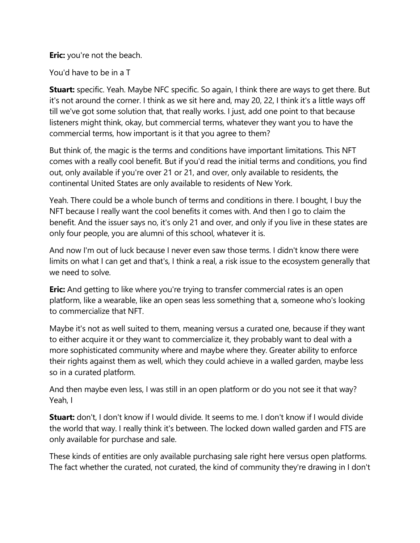**Eric:** you're not the beach.

You'd have to be in a T

**Stuart:** specific. Yeah. Maybe NFC specific. So again, I think there are ways to get there. But it's not around the corner. I think as we sit here and, may 20, 22, I think it's a little ways off till we've got some solution that, that really works. I just, add one point to that because listeners might think, okay, but commercial terms, whatever they want you to have the commercial terms, how important is it that you agree to them?

But think of, the magic is the terms and conditions have important limitations. This NFT comes with a really cool benefit. But if you'd read the initial terms and conditions, you find out, only available if you're over 21 or 21, and over, only available to residents, the continental United States are only available to residents of New York.

Yeah. There could be a whole bunch of terms and conditions in there. I bought, I buy the NFT because I really want the cool benefits it comes with. And then I go to claim the benefit. And the issuer says no, it's only 21 and over, and only if you live in these states are only four people, you are alumni of this school, whatever it is.

And now I'm out of luck because I never even saw those terms. I didn't know there were limits on what I can get and that's, I think a real, a risk issue to the ecosystem generally that we need to solve.

**Eric:** And getting to like where you're trying to transfer commercial rates is an open platform, like a wearable, like an open seas less something that a, someone who's looking to commercialize that NFT.

Maybe it's not as well suited to them, meaning versus a curated one, because if they want to either acquire it or they want to commercialize it, they probably want to deal with a more sophisticated community where and maybe where they. Greater ability to enforce their rights against them as well, which they could achieve in a walled garden, maybe less so in a curated platform.

And then maybe even less, I was still in an open platform or do you not see it that way? Yeah, I

**Stuart:** don't, I don't know if I would divide. It seems to me. I don't know if I would divide the world that way. I really think it's between. The locked down walled garden and FTS are only available for purchase and sale.

These kinds of entities are only available purchasing sale right here versus open platforms. The fact whether the curated, not curated, the kind of community they're drawing in I don't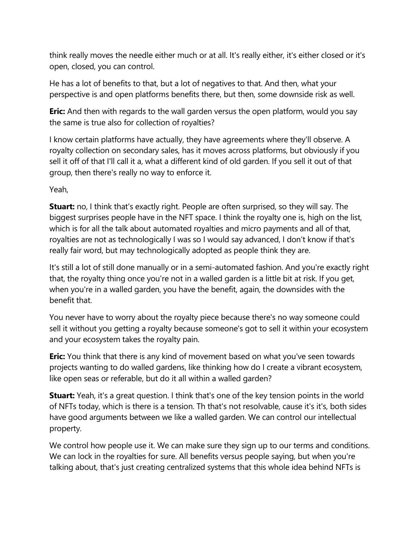think really moves the needle either much or at all. It's really either, it's either closed or it's open, closed, you can control.

He has a lot of benefits to that, but a lot of negatives to that. And then, what your perspective is and open platforms benefits there, but then, some downside risk as well.

**Eric:** And then with regards to the wall garden versus the open platform, would you say the same is true also for collection of royalties?

I know certain platforms have actually, they have agreements where they'll observe. A royalty collection on secondary sales, has it moves across platforms, but obviously if you sell it off of that I'll call it a, what a different kind of old garden. If you sell it out of that group, then there's really no way to enforce it.

Yeah,

**Stuart:** no, I think that's exactly right. People are often surprised, so they will say. The biggest surprises people have in the NFT space. I think the royalty one is, high on the list, which is for all the talk about automated royalties and micro payments and all of that, royalties are not as technologically I was so I would say advanced, I don't know if that's really fair word, but may technologically adopted as people think they are.

It's still a lot of still done manually or in a semi-automated fashion. And you're exactly right that, the royalty thing once you're not in a walled garden is a little bit at risk. If you get, when you're in a walled garden, you have the benefit, again, the downsides with the benefit that.

You never have to worry about the royalty piece because there's no way someone could sell it without you getting a royalty because someone's got to sell it within your ecosystem and your ecosystem takes the royalty pain.

**Eric:** You think that there is any kind of movement based on what you've seen towards projects wanting to do walled gardens, like thinking how do I create a vibrant ecosystem, like open seas or referable, but do it all within a walled garden?

**Stuart:** Yeah, it's a great question. I think that's one of the key tension points in the world of NFTs today, which is there is a tension. Th that's not resolvable, cause it's it's, both sides have good arguments between we like a walled garden. We can control our intellectual property.

We control how people use it. We can make sure they sign up to our terms and conditions. We can lock in the royalties for sure. All benefits versus people saying, but when you're talking about, that's just creating centralized systems that this whole idea behind NFTs is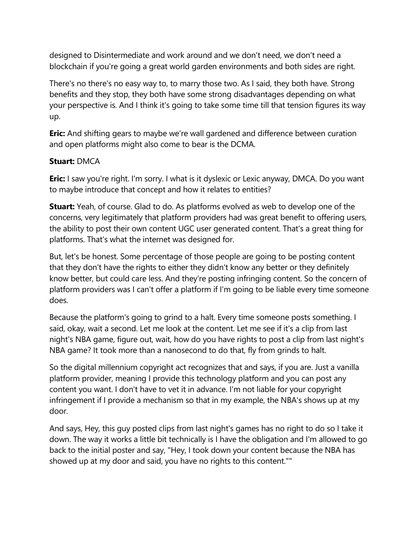designed to Disintermediate and work around and we don't need, we don't need a blockchain if you're going a great world garden environments and both sides are right.

There's no there's no easy way to, to marry those two. As I said, they both have. Strong benefits and they stop, they both have some strong disadvantages depending on what your perspective is. And I think it's going to take some time till that tension figures its way up.

**Eric:** And shifting gears to maybe we're wall gardened and difference between curation and open platforms might also come to bear is the DCMA.

## **Stuart:** DMCA

**Eric:** I saw you're right. I'm sorry. I what is it dyslexic or Lexic anyway, DMCA. Do you want to maybe introduce that concept and how it relates to entities?

**Stuart:** Yeah, of course. Glad to do. As platforms evolved as web to develop one of the concerns, very legitimately that platform providers had was great benefit to offering users, the ability to post their own content UGC user generated content. That's a great thing for platforms. That's what the internet was designed for.

But, let's be honest. Some percentage of those people are going to be posting content that they don't have the rights to either they didn't know any better or they definitely know better, but could care less. And they're posting infringing content. So the concern of platform providers was I can't offer a platform if I'm going to be liable every time someone does.

Because the platform's going to grind to a halt. Every time someone posts something. I said, okay, wait a second. Let me look at the content. Let me see if it's a clip from last night's NBA game, figure out, wait, how do you have rights to post a clip from last night's NBA game? It took more than a nanosecond to do that, fly from grinds to halt.

So the digital millennium copyright act recognizes that and says, if you are. Just a vanilla platform provider, meaning I provide this technology platform and you can post any content you want. I don't have to vet it in advance. I'm not liable for your copyright infringement if I provide a mechanism so that in my example, the NBA's shows up at my door.

And says, Hey, this guy posted clips from last night's games has no right to do so I take it down. The way it works a little bit technically is I have the obligation and I'm allowed to go back to the initial poster and say, "Hey, I took down your content because the NBA has showed up at my door and said, you have no rights to this content.""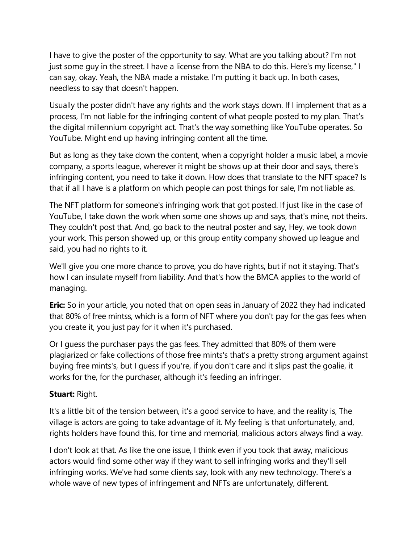I have to give the poster of the opportunity to say. What are you talking about? I'm not just some guy in the street. I have a license from the NBA to do this. Here's my license," I can say, okay. Yeah, the NBA made a mistake. I'm putting it back up. In both cases, needless to say that doesn't happen.

Usually the poster didn't have any rights and the work stays down. If I implement that as a process, I'm not liable for the infringing content of what people posted to my plan. That's the digital millennium copyright act. That's the way something like YouTube operates. So YouTube. Might end up having infringing content all the time.

But as long as they take down the content, when a copyright holder a music label, a movie company, a sports league, wherever it might be shows up at their door and says, there's infringing content, you need to take it down. How does that translate to the NFT space? Is that if all I have is a platform on which people can post things for sale, I'm not liable as.

The NFT platform for someone's infringing work that got posted. If just like in the case of YouTube, I take down the work when some one shows up and says, that's mine, not theirs. They couldn't post that. And, go back to the neutral poster and say, Hey, we took down your work. This person showed up, or this group entity company showed up league and said, you had no rights to it.

We'll give you one more chance to prove, you do have rights, but if not it staying. That's how I can insulate myself from liability. And that's how the BMCA applies to the world of managing.

**Eric:** So in your article, you noted that on open seas in January of 2022 they had indicated that 80% of free mintss, which is a form of NFT where you don't pay for the gas fees when you create it, you just pay for it when it's purchased.

Or I guess the purchaser pays the gas fees. They admitted that 80% of them were plagiarized or fake collections of those free mints's that's a pretty strong argument against buying free mints's, but I guess if you're, if you don't care and it slips past the goalie, it works for the, for the purchaser, although it's feeding an infringer.

## **Stuart:** Right.

It's a little bit of the tension between, it's a good service to have, and the reality is, The village is actors are going to take advantage of it. My feeling is that unfortunately, and, rights holders have found this, for time and memorial, malicious actors always find a way.

I don't look at that. As like the one issue, I think even if you took that away, malicious actors would find some other way if they want to sell infringing works and they'll sell infringing works. We've had some clients say, look with any new technology. There's a whole wave of new types of infringement and NFTs are unfortunately, different.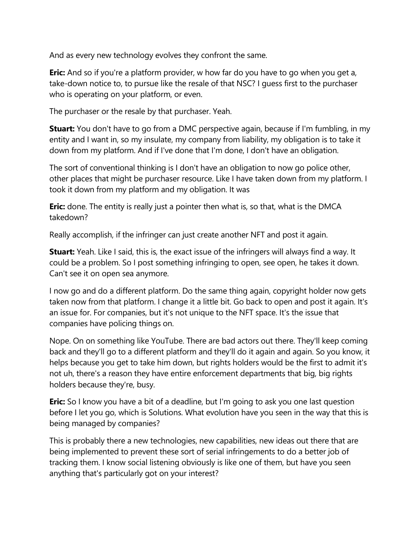And as every new technology evolves they confront the same.

**Eric:** And so if you're a platform provider, w how far do you have to go when you get a, take-down notice to, to pursue like the resale of that NSC? I guess first to the purchaser who is operating on your platform, or even.

The purchaser or the resale by that purchaser. Yeah.

**Stuart:** You don't have to go from a DMC perspective again, because if I'm fumbling, in my entity and I want in, so my insulate, my company from liability, my obligation is to take it down from my platform. And if I've done that I'm done, I don't have an obligation.

The sort of conventional thinking is I don't have an obligation to now go police other, other places that might be purchaser resource. Like I have taken down from my platform. I took it down from my platform and my obligation. It was

**Eric:** done. The entity is really just a pointer then what is, so that, what is the DMCA takedown?

Really accomplish, if the infringer can just create another NFT and post it again.

**Stuart:** Yeah. Like I said, this is, the exact issue of the infringers will always find a way. It could be a problem. So I post something infringing to open, see open, he takes it down. Can't see it on open sea anymore.

I now go and do a different platform. Do the same thing again, copyright holder now gets taken now from that platform. I change it a little bit. Go back to open and post it again. It's an issue for. For companies, but it's not unique to the NFT space. It's the issue that companies have policing things on.

Nope. On on something like YouTube. There are bad actors out there. They'll keep coming back and they'll go to a different platform and they'll do it again and again. So you know, it helps because you get to take him down, but rights holders would be the first to admit it's not uh, there's a reason they have entire enforcement departments that big, big rights holders because they're, busy.

**Eric:** So I know you have a bit of a deadline, but I'm going to ask you one last question before I let you go, which is Solutions. What evolution have you seen in the way that this is being managed by companies?

This is probably there a new technologies, new capabilities, new ideas out there that are being implemented to prevent these sort of serial infringements to do a better job of tracking them. I know social listening obviously is like one of them, but have you seen anything that's particularly got on your interest?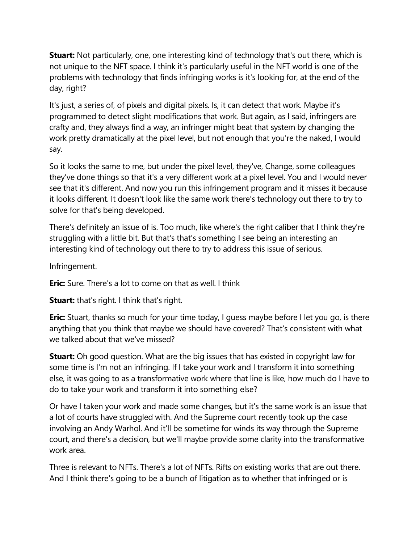**Stuart:** Not particularly, one, one interesting kind of technology that's out there, which is not unique to the NFT space. I think it's particularly useful in the NFT world is one of the problems with technology that finds infringing works is it's looking for, at the end of the day, right?

It's just, a series of, of pixels and digital pixels. Is, it can detect that work. Maybe it's programmed to detect slight modifications that work. But again, as I said, infringers are crafty and, they always find a way, an infringer might beat that system by changing the work pretty dramatically at the pixel level, but not enough that you're the naked, I would say.

So it looks the same to me, but under the pixel level, they've, Change, some colleagues they've done things so that it's a very different work at a pixel level. You and I would never see that it's different. And now you run this infringement program and it misses it because it looks different. It doesn't look like the same work there's technology out there to try to solve for that's being developed.

There's definitely an issue of is. Too much, like where's the right caliber that I think they're struggling with a little bit. But that's that's something I see being an interesting an interesting kind of technology out there to try to address this issue of serious.

Infringement.

**Eric:** Sure. There's a lot to come on that as well. I think

**Stuart:** that's right. I think that's right.

**Eric:** Stuart, thanks so much for your time today, I guess maybe before I let you go, is there anything that you think that maybe we should have covered? That's consistent with what we talked about that we've missed?

**Stuart:** Oh good question. What are the big issues that has existed in copyright law for some time is I'm not an infringing. If I take your work and I transform it into something else, it was going to as a transformative work where that line is like, how much do I have to do to take your work and transform it into something else?

Or have I taken your work and made some changes, but it's the same work is an issue that a lot of courts have struggled with. And the Supreme court recently took up the case involving an Andy Warhol. And it'll be sometime for winds its way through the Supreme court, and there's a decision, but we'll maybe provide some clarity into the transformative work area.

Three is relevant to NFTs. There's a lot of NFTs. Rifts on existing works that are out there. And I think there's going to be a bunch of litigation as to whether that infringed or is